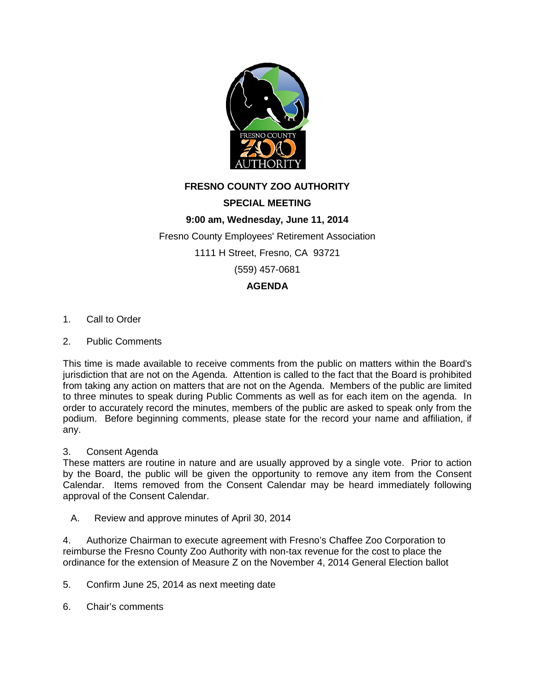

# **FRESNO COUNTY ZOO AUTHORITY**

# **SPECIAL MEETING**

# **9:00 am, Wednesday, June 11, 2014**

Fresno County Employees' Retirement Association

1111 H Street, Fresno, CA 93721

(559) 457-0681

# **AGENDA**

- 1. Call to Order
- 2. Public Comments

This time is made available to receive comments from the public on matters within the Board's jurisdiction that are not on the Agenda. Attention is called to the fact that the Board is prohibited from taking any action on matters that are not on the Agenda. Members of the public are limited to three minutes to speak during Public Comments as well as for each item on the agenda. In order to accurately record the minutes, members of the public are asked to speak only from the podium. Before beginning comments, please state for the record your name and affiliation, if any.

### 3. Consent Agenda

These matters are routine in nature and are usually approved by a single vote. Prior to action by the Board, the public will be given the opportunity to remove any item from the Consent Calendar. Items removed from the Consent Calendar may be heard immediately following approval of the Consent Calendar.

A. Review and approve minutes of April 30, 2014

4. Authorize Chairman to execute agreement with Fresno's Chaffee Zoo Corporation to reimburse the Fresno County Zoo Authority with non-tax revenue for the cost to place the ordinance for the extension of Measure Z on the November 4, 2014 General Election ballot

- 5. Confirm June 25, 2014 as next meeting date
- 6. Chair's comments